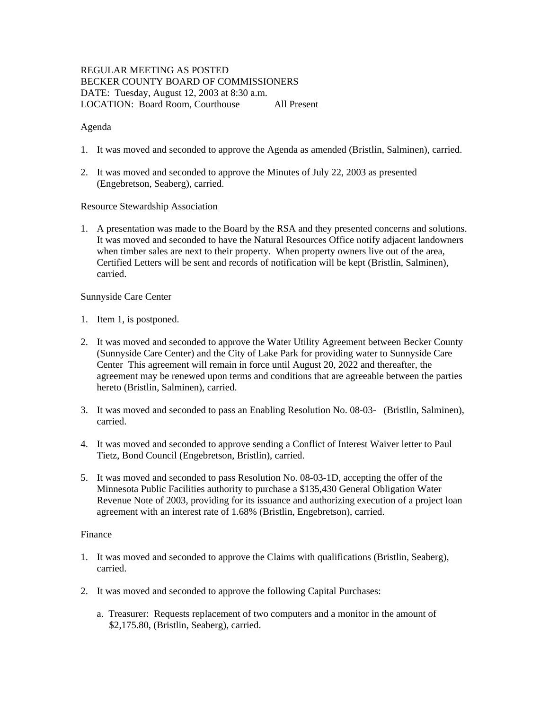# REGULAR MEETING AS POSTED BECKER COUNTY BOARD OF COMMISSIONERS DATE: Tuesday, August 12, 2003 at 8:30 a.m. LOCATION: Board Room, Courthouse All Present

## Agenda

- 1. It was moved and seconded to approve the Agenda as amended (Bristlin, Salminen), carried.
- 2. It was moved and seconded to approve the Minutes of July 22, 2003 as presented (Engebretson, Seaberg), carried.

### Resource Stewardship Association

1. A presentation was made to the Board by the RSA and they presented concerns and solutions. It was moved and seconded to have the Natural Resources Office notify adjacent landowners when timber sales are next to their property. When property owners live out of the area, Certified Letters will be sent and records of notification will be kept (Bristlin, Salminen), carried.

### Sunnyside Care Center

- 1. Item 1, is postponed.
- 2. It was moved and seconded to approve the Water Utility Agreement between Becker County (Sunnyside Care Center) and the City of Lake Park for providing water to Sunnyside Care Center This agreement will remain in force until August 20, 2022 and thereafter, the agreement may be renewed upon terms and conditions that are agreeable between the parties hereto (Bristlin, Salminen), carried.
- 3. It was moved and seconded to pass an Enabling Resolution No. 08-03- (Bristlin, Salminen), carried.
- 4. It was moved and seconded to approve sending a Conflict of Interest Waiver letter to Paul Tietz, Bond Council (Engebretson, Bristlin), carried.
- 5. It was moved and seconded to pass Resolution No. 08-03-1D, accepting the offer of the Minnesota Public Facilities authority to purchase a \$135,430 General Obligation Water Revenue Note of 2003, providing for its issuance and authorizing execution of a project loan agreement with an interest rate of 1.68% (Bristlin, Engebretson), carried.

#### Finance

- 1. It was moved and seconded to approve the Claims with qualifications (Bristlin, Seaberg), carried.
- 2. It was moved and seconded to approve the following Capital Purchases:
	- a. Treasurer: Requests replacement of two computers and a monitor in the amount of \$2,175.80, (Bristlin, Seaberg), carried.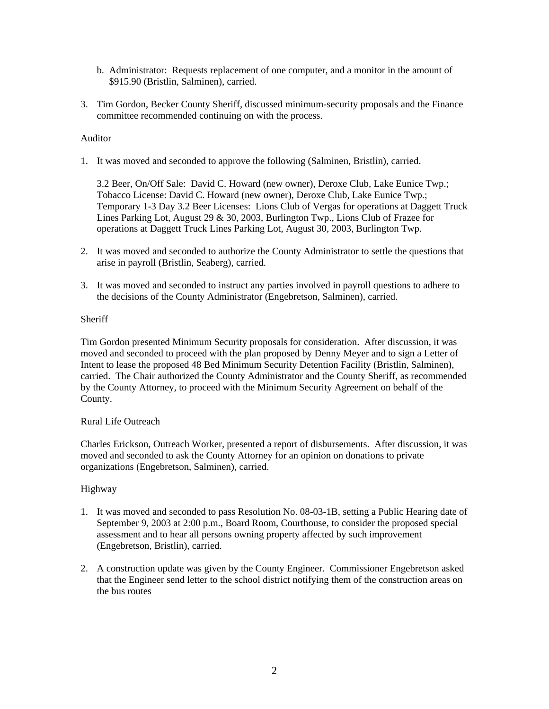- b. Administrator: Requests replacement of one computer, and a monitor in the amount of \$915.90 (Bristlin, Salminen), carried.
- 3. Tim Gordon, Becker County Sheriff, discussed minimum-security proposals and the Finance committee recommended continuing on with the process.

# Auditor

1. It was moved and seconded to approve the following (Salminen, Bristlin), carried.

3.2 Beer, On/Off Sale: David C. Howard (new owner), Deroxe Club, Lake Eunice Twp.; Tobacco License: David C. Howard (new owner), Deroxe Club, Lake Eunice Twp.; Temporary 1-3 Day 3.2 Beer Licenses: Lions Club of Vergas for operations at Daggett Truck Lines Parking Lot, August 29 & 30, 2003, Burlington Twp., Lions Club of Frazee for operations at Daggett Truck Lines Parking Lot, August 30, 2003, Burlington Twp.

- 2. It was moved and seconded to authorize the County Administrator to settle the questions that arise in payroll (Bristlin, Seaberg), carried.
- 3. It was moved and seconded to instruct any parties involved in payroll questions to adhere to the decisions of the County Administrator (Engebretson, Salminen), carried.

### **Sheriff**

Tim Gordon presented Minimum Security proposals for consideration. After discussion, it was moved and seconded to proceed with the plan proposed by Denny Meyer and to sign a Letter of Intent to lease the proposed 48 Bed Minimum Security Detention Facility (Bristlin, Salminen), carried. The Chair authorized the County Administrator and the County Sheriff, as recommended by the County Attorney, to proceed with the Minimum Security Agreement on behalf of the County.

#### Rural Life Outreach

Charles Erickson, Outreach Worker, presented a report of disbursements. After discussion, it was moved and seconded to ask the County Attorney for an opinion on donations to private organizations (Engebretson, Salminen), carried.

# Highway

- 1. It was moved and seconded to pass Resolution No. 08-03-1B, setting a Public Hearing date of September 9, 2003 at 2:00 p.m., Board Room, Courthouse, to consider the proposed special assessment and to hear all persons owning property affected by such improvement (Engebretson, Bristlin), carried.
- 2. A construction update was given by the County Engineer. Commissioner Engebretson asked that the Engineer send letter to the school district notifying them of the construction areas on the bus routes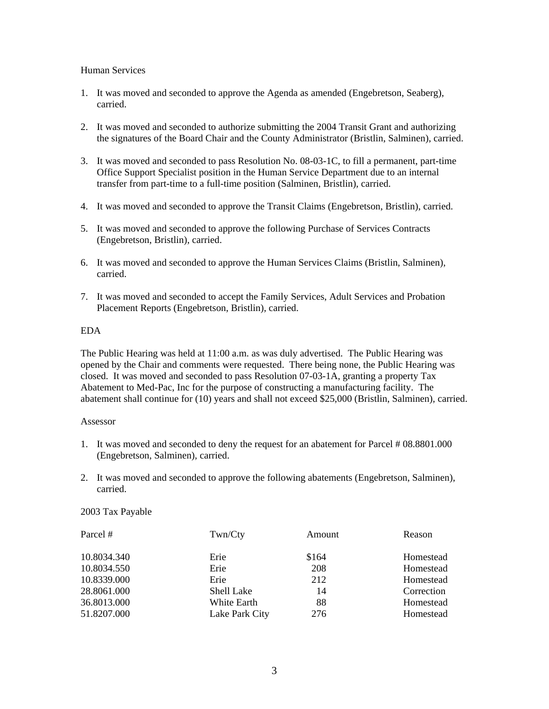### Human Services

- 1. It was moved and seconded to approve the Agenda as amended (Engebretson, Seaberg), carried.
- 2. It was moved and seconded to authorize submitting the 2004 Transit Grant and authorizing the signatures of the Board Chair and the County Administrator (Bristlin, Salminen), carried.
- 3. It was moved and seconded to pass Resolution No. 08-03-1C, to fill a permanent, part-time Office Support Specialist position in the Human Service Department due to an internal transfer from part-time to a full-time position (Salminen, Bristlin), carried.
- 4. It was moved and seconded to approve the Transit Claims (Engebretson, Bristlin), carried.
- 5. It was moved and seconded to approve the following Purchase of Services Contracts (Engebretson, Bristlin), carried.
- 6. It was moved and seconded to approve the Human Services Claims (Bristlin, Salminen), carried.
- 7. It was moved and seconded to accept the Family Services, Adult Services and Probation Placement Reports (Engebretson, Bristlin), carried.

# EDA

The Public Hearing was held at 11:00 a.m. as was duly advertised. The Public Hearing was opened by the Chair and comments were requested. There being none, the Public Hearing was closed. It was moved and seconded to pass Resolution 07-03-1A, granting a property Tax Abatement to Med-Pac, Inc for the purpose of constructing a manufacturing facility. The abatement shall continue for (10) years and shall not exceed \$25,000 (Bristlin, Salminen), carried.

#### Assessor

- 1. It was moved and seconded to deny the request for an abatement for Parcel # 08.8801.000 (Engebretson, Salminen), carried.
- 2. It was moved and seconded to approve the following abatements (Engebretson, Salminen), carried.

# 2003 Tax Payable

| Parcel #    | Twn/Cty        | Amount | Reason     |
|-------------|----------------|--------|------------|
| 10.8034.340 | Erie           | \$164  | Homestead  |
| 10.8034.550 | Erie           | 208    | Homestead  |
| 10.8339.000 | Erie           | 212    | Homestead  |
| 28.8061.000 | Shell Lake     | 14     | Correction |
| 36.8013.000 | White Earth    | 88     | Homestead  |
| 51.8207.000 | Lake Park City | 276    | Homestead  |